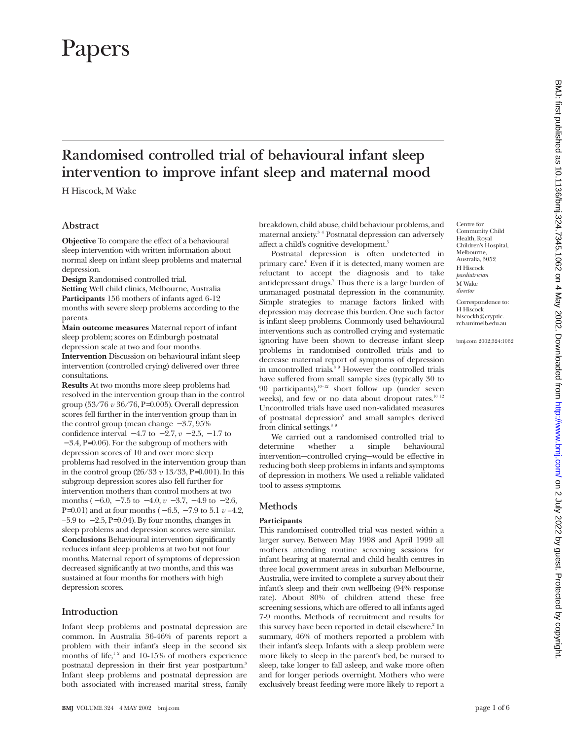# Papers

# **Randomised controlled trial of behavioural infant sleep intervention to improve infant sleep and maternal mood**

H Hiscock, M Wake

# **Abstract**

**Objective** To compare the effect of a behavioural sleep intervention with written information about normal sleep on infant sleep problems and maternal depression.

**Design** Randomised controlled trial.

**Setting** Well child clinics, Melbourne, Australia **Participants** 156 mothers of infants aged 6-12 months with severe sleep problems according to the parents.

**Main outcome measures** Maternal report of infant sleep problem; scores on Edinburgh postnatal depression scale at two and four months.

**Intervention** Discussion on behavioural infant sleep intervention (controlled crying) delivered over three consultations.

**Results** At two months more sleep problems had resolved in the intervention group than in the control group (53/76 *v* 36/76, P=0.005). Overall depression scores fell further in the intervention group than in the control group (mean change − 3.7, 95% confidence interval  $-4.7$  to  $-2.7$ ,  $v - 2.5$ ,  $-1.7$  to − 3.4, P=0.06). For the subgroup of mothers with depression scores of 10 and over more sleep problems had resolved in the intervention group than in the control group  $(26/33 \ v \ 13/33, P=0.001)$ . In this subgroup depression scores also fell further for intervention mothers than control mothers at two months ( − 6.0, − 7.5 to − 4.0, *v* − 3.7, − 4.9 to − 2.6, P=0.01) and at four months ( − 6.5, − 7.9 to 5.1 *v* –4.2,  $-5.9$  to  $-2.5$ , P=0.04). By four months, changes in sleep problems and depression scores were similar. **Conclusions** Behavioural intervention significantly reduces infant sleep problems at two but not four months. Maternal report of symptoms of depression decreased significantly at two months, and this was sustained at four months for mothers with high depression scores.

# **Introduction**

Infant sleep problems and postnatal depression are common. In Australia 36-46% of parents report a problem with their infant's sleep in the second six months of life, $12$  and 10-15% of mothers experience postnatal depression in their first year postpartum.<sup>3</sup> Infant sleep problems and postnatal depression are both associated with increased marital stress, family

breakdown, child abuse, child behaviour problems, and maternal anxiety.<sup>34</sup> Postnatal depression can adversely affect a child's cognitive development.<sup>5</sup>

Postnatal depression is often undetected in primary care.6 Even if it is detected, many women are reluctant to accept the diagnosis and to take antidepressant drugs.<sup>7</sup> Thus there is a large burden of unmanaged postnatal depression in the community. Simple strategies to manage factors linked with depression may decrease this burden. One such factor is infant sleep problems. Commonly used behavioural interventions such as controlled crying and systematic ignoring have been shown to decrease infant sleep problems in randomised controlled trials and to decrease maternal report of symptoms of depression in uncontrolled trials.<sup>8 9</sup> However the controlled trials have suffered from small sample sizes (typically 30 to 90 participants), $10-12$  short follow up (under seven weeks), and few or no data about dropout rates.<sup>10 12</sup> Uncontrolled trials have used non-validated measures of postnatal depression<sup>8</sup> and small samples derived from clinical settings.<sup>8 9</sup>

We carried out a randomised controlled trial to determine whether a simple behavioural intervention—controlled crying—would be effective in reducing both sleep problems in infants and symptoms of depression in mothers. We used a reliable validated tool to assess symptoms.

# **Methods**

#### **Participants**

This randomised controlled trial was nested within a larger survey. Between May 1998 and April 1999 all mothers attending routine screening sessions for infant hearing at maternal and child health centres in three local government areas in suburban Melbourne, Australia, were invited to complete a survey about their infant's sleep and their own wellbeing (94% response rate). About 80% of children attend these free screening sessions, which are offered to all infants aged 7-9 months. Methods of recruitment and results for this survey have been reported in detail elsewhere.<sup>2</sup> In summary, 46% of mothers reported a problem with their infant's sleep. Infants with a sleep problem were more likely to sleep in the parent's bed, be nursed to sleep, take longer to fall asleep, and wake more often and for longer periods overnight. Mothers who were exclusively breast feeding were more likely to report a

Centre for Community Child Health, Royal Children's Hospital, Melbourne, Australia, 3052 H Hiscock *paediatrician* M Wake *director* Correspondence to: H Hiscock hiscockh@cryptic.

bmj.com 2002;324:1062

rch.unimelb.edu.au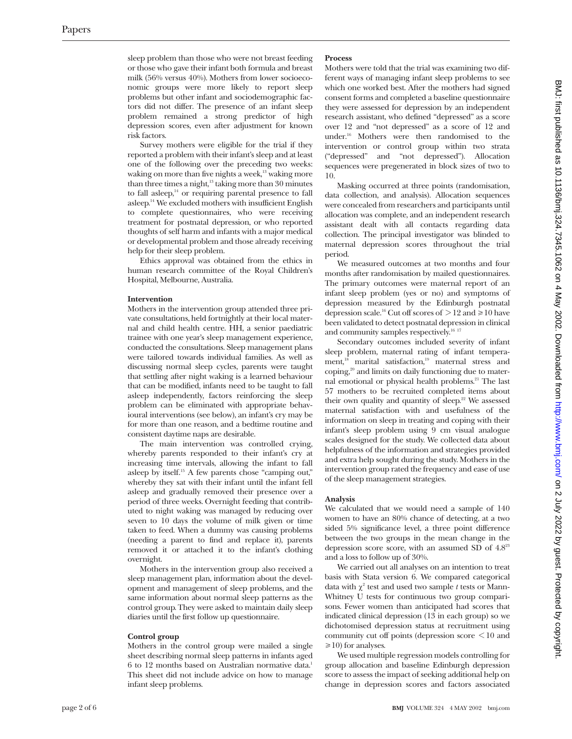sleep problem than those who were not breast feeding or those who gave their infant both formula and breast milk (56% versus 40%). Mothers from lower socioeconomic groups were more likely to report sleep problems but other infant and sociodemographic factors did not differ. The presence of an infant sleep problem remained a strong predictor of high depression scores, even after adjustment for known risk factors.

Survey mothers were eligible for the trial if they reported a problem with their infant's sleep and at least one of the following over the preceding two weeks: waking on more than five nights a week, $13$  waking more than three times a night, $13$  taking more than 30 minutes to fall asleep, $14$  or requiring parental presence to fall asleep.14 We excluded mothers with insufficient English to complete questionnaires, who were receiving treatment for postnatal depression, or who reported thoughts of self harm and infants with a major medical or developmental problem and those already receiving help for their sleep problem.

Ethics approval was obtained from the ethics in human research committee of the Royal Children's Hospital, Melbourne, Australia.

#### **Intervention**

Mothers in the intervention group attended three private consultations, held fortnightly at their local maternal and child health centre. HH, a senior paediatric trainee with one year's sleep management experience, conducted the consultations. Sleep management plans were tailored towards individual families. As well as discussing normal sleep cycles, parents were taught that settling after night waking is a learned behaviour that can be modified, infants need to be taught to fall asleep independently, factors reinforcing the sleep problem can be eliminated with appropriate behavioural interventions (see below), an infant's cry may be for more than one reason, and a bedtime routine and consistent daytime naps are desirable.

The main intervention was controlled crying, whereby parents responded to their infant's cry at increasing time intervals, allowing the infant to fall asleep by itself.15 A few parents chose "camping out," whereby they sat with their infant until the infant fell asleep and gradually removed their presence over a period of three weeks. Overnight feeding that contributed to night waking was managed by reducing over seven to 10 days the volume of milk given or time taken to feed. When a dummy was causing problems (needing a parent to find and replace it), parents removed it or attached it to the infant's clothing overnight.

Mothers in the intervention group also received a sleep management plan, information about the development and management of sleep problems, and the same information about normal sleep patterns as the control group. They were asked to maintain daily sleep diaries until the first follow up questionnaire.

#### **Control group**

Mothers in the control group were mailed a single sheet describing normal sleep patterns in infants aged 6 to 12 months based on Australian normative data.<sup>1</sup> This sheet did not include advice on how to manage infant sleep problems.

#### **Process**

Mothers were told that the trial was examining two different ways of managing infant sleep problems to see which one worked best. After the mothers had signed consent forms and completed a baseline questionnaire they were assessed for depression by an independent research assistant, who defined "depressed" as a score over 12 and "not depressed" as a score of 12 and under.16 Mothers were then randomised to the intervention or control group within two strata ("depressed" and "not depressed"). Allocation sequences were pregenerated in block sizes of two to 10.

Masking occurred at three points (randomisation, data collection, and analysis). Allocation sequences were concealed from researchers and participants until allocation was complete, and an independent research assistant dealt with all contacts regarding data collection. The principal investigator was blinded to maternal depression scores throughout the trial period.

We measured outcomes at two months and four months after randomisation by mailed questionnaires. The primary outcomes were maternal report of an infant sleep problem (yes or no) and symptoms of depression measured by the Edinburgh postnatal depression scale.<sup>16</sup> Cut off scores of  $> 12$  and  $\geq 10$  have been validated to detect postnatal depression in clinical and community samples respectively.<sup>16 17</sup>

Secondary outcomes included severity of infant sleep problem, maternal rating of infant temperament,<sup>18</sup> marital satisfaction,<sup>19</sup> maternal stress and coping,20 and limits on daily functioning due to maternal emotional or physical health problems.<sup>21</sup> The last 57 mothers to be recruited completed items about their own quality and quantity of sleep.<sup>22</sup> We assessed maternal satisfaction with and usefulness of the information on sleep in treating and coping with their infant's sleep problem using 9 cm visual analogue scales designed for the study. We collected data about helpfulness of the information and strategies provided and extra help sought during the study. Mothers in the intervention group rated the frequency and ease of use of the sleep management strategies.

#### **Analysis**

We calculated that we would need a sample of 140 women to have an 80% chance of detecting, at a two sided 5% significance level, a three point difference between the two groups in the mean change in the depression score score, with an assumed SD of 4.823 and a loss to follow up of 30%.

We carried out all analyses on an intention to treat basis with Stata version 6. We compared categorical data with  $\chi^2$  test and used two sample *t* tests or Mann-Whitney U tests for continuous two group comparisons. Fewer women than anticipated had scores that indicated clinical depression (13 in each group) so we dichotomised depression status at recruitment using community cut off points (depression score < 10 and  $\geq$ 10) for analyses.

We used multiple regression models controlling for group allocation and baseline Edinburgh depression score to assess the impact of seeking additional help on change in depression scores and factors associated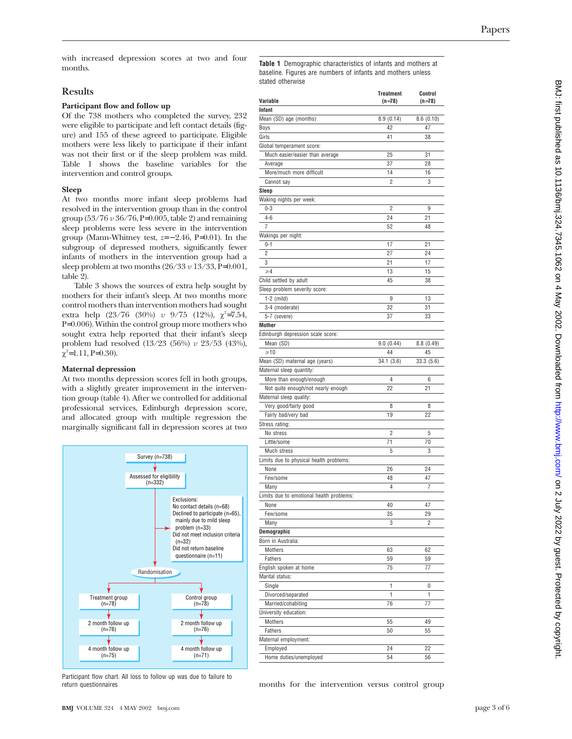with increased depression scores at two and four months.

# **Results**

## **Participant flow and follow up**

Of the 738 mothers who completed the survey, 232 were eligible to participate and left contact details (figure) and 155 of these agreed to participate. Eligible mothers were less likely to participate if their infant was not their first or if the sleep problem was mild. Table 1 shows the baseline variables for the intervention and control groups.

# **Sleep**

At two months more infant sleep problems had resolved in the intervention group than in the control group (53/76 *v* 36/76, P=0.005, table 2) and remaining sleep problems were less severe in the intervention group (Mann-Whitney test,  $z=-2.46$ , P=0.01). In the subgroup of depressed mothers, significantly fewer infants of mothers in the intervention group had a sleep problem at two months (26/33 *v* 13/33, P=0.001, table 2).

Table 3 shows the sources of extra help sought by mothers for their infant's sleep. At two months more control mothers than intervention mothers had sought extra help (23/76 (30%) *v* 9/75 (12%), χ<sup>2</sup>=7.54, P=0.006). Within the control group more mothers who sought extra help reported that their infant's sleep problem had resolved (13/23 (56%) *v* 23/53 (43%),  $\chi^2$ =1.11, P=0.30).

# **Maternal depression**

At two months depression scores fell in both groups, with a slightly greater improvement in the intervention group (table 4). After we controlled for additional professional services, Edinburgh depression score, and allocated group with multiple regression the marginally significant fall in depression scores at two



Participant flow chart. All loss to follow up was due to failure to return questionnaires

**Table 1** Demographic characteristics of infants and mothers at baseline. Figures are numbers of infants and mothers unless stated otherwise

| Variable                                 | <b>Treatment</b><br>$(n=78)$ | Control<br>$(n=78)$ |
|------------------------------------------|------------------------------|---------------------|
| Infant                                   |                              |                     |
| Mean (SD) age (months)                   | 8.9(0.14)                    | 8.6(0.10)           |
| Boys                                     | 42                           | 47                  |
| Girls                                    | 41                           | 38                  |
| Global temperament score:                |                              |                     |
| Much easier/easier than average          | 25                           | 31                  |
| Average                                  | 37                           | 28                  |
| More/much more difficult                 | 14                           | 16                  |
| Cannot say                               | 2                            | 3                   |
| Sleep                                    |                              |                     |
| Waking nights per week:                  |                              |                     |
| $0 - 3$                                  | 2                            | 9                   |
| $4 - 6$                                  | 24                           | 21                  |
| 7                                        | 52                           | 48                  |
| Wakings per night:                       |                              |                     |
| $0 - 1$                                  | 17                           | 21                  |
| 2                                        | 27                           | 24                  |
| 3                                        | 21                           | 17                  |
| $\geqslant$ 4                            | 13                           | 15                  |
| Child settled by adult                   | 45                           | 38                  |
| Sleep problem severity score:            |                              |                     |
| $1-2$ (mild)                             | 9                            | 13                  |
| 3-4 (moderate)                           | 32                           | 31                  |
| 5-7 (severe)                             | 37                           | 33                  |
| Mother                                   |                              |                     |
| Edinburgh depression scale score:        |                              |                     |
| Mean (SD)                                | 9.0(0.44)                    | 8.8(0.49)           |
| $\geq 10$                                | 44                           | 45                  |
| Mean (SD) maternal age (years)           | 34.1 (3.6)                   | 33.3(5.6)           |
| Maternal sleep quantity:                 |                              |                     |
| More than enough/enough                  | 4                            | 6                   |
| Not quite enough/not nearly enough       | 22                           | 21                  |
| Maternal sleep quality:                  |                              |                     |
| Very good/fairly good                    | 8                            | 8                   |
| Fairly bad/very bad                      | 19                           | 22                  |
| Stress rating:                           |                              |                     |
| No stress                                | 2                            | 5                   |
| Little/some                              | 71                           | 70                  |
| Much stress                              | 5                            | 3                   |
| Limits due to physical health problems:  |                              |                     |
| None                                     | 26                           | 24                  |
| Few/some                                 | 48                           | 47                  |
| Many                                     | 4                            | 7                   |
| Limits due to emotional health problems: |                              |                     |
| None                                     | 40                           | 47                  |
| Few/some                                 | 35                           | 29                  |
| Many                                     | 3                            | 2                   |
| Demographic                              |                              |                     |
| Born in Australia:                       |                              |                     |
| Mothers                                  | 63                           | 62                  |
| Fathers                                  | 59                           | 59                  |
| English spoken at home                   | 75                           | 77                  |
| Marital status:                          |                              |                     |
| Single                                   | 1                            | 0                   |
| Divorced/separated                       | 1                            | 1                   |
| Married/cohabiting                       | 76                           | 77                  |
| University education:                    |                              |                     |
| Mothers                                  | 55                           | 49                  |
| Fathers                                  | 50                           | 55                  |
| Maternal employment:                     |                              |                     |
| Employed                                 | 24                           | 22                  |
| Home duties/unemployed                   | 54                           | 56                  |

months for the intervention versus control group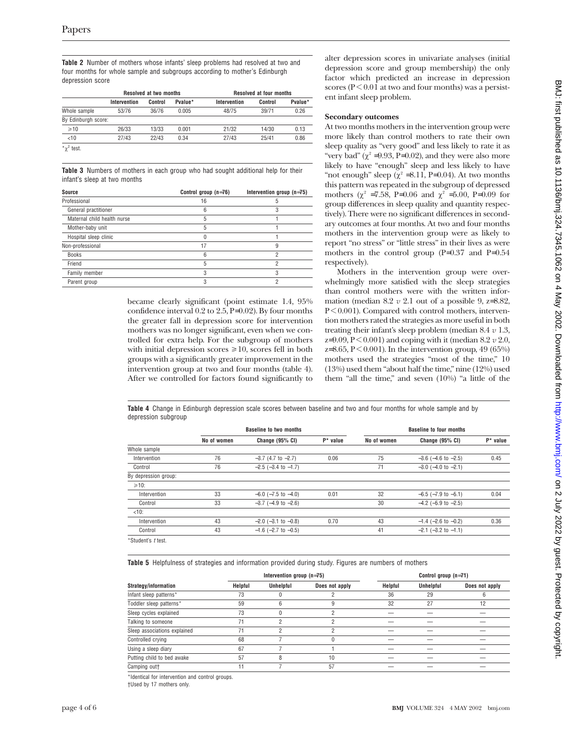**Table 2** Number of mothers whose infants' sleep problems had resolved at two and four months for whole sample and subgroups according to mother's Edinburgh depression score

|                     | <b>Resolved at two months</b> |         | <b>Resolved at four months</b> |              |         |         |
|---------------------|-------------------------------|---------|--------------------------------|--------------|---------|---------|
|                     | Intervention                  | Control | Pvalue*                        | Intervention | Control | Pvalue* |
| Whole sample        | 53/76                         | 36/76   | 0.005                          | 48/75        | 39/71   | 0.26    |
| By Edinburgh score: |                               |         |                                |              |         |         |
| $\geq 10$           | 26/33                         | 13/33   | 0.001                          | 21/32        | 14/30   | 0.13    |
| < 10                | 27/43                         | 22/43   | 0.34                           | 27/43        | 25/41   | 0.86    |
| $\pi^2$ test.       |                               |         |                                |              |         |         |

**Table 3** Numbers of mothers in each group who had sought additional help for their infant's sleep at two months

| Source                      | Control group (n=76) | Intervention group $(n=75)$ |
|-----------------------------|----------------------|-----------------------------|
| Professional                | 16                   | 5                           |
| General practitioner        | 6                    | 3                           |
| Maternal child health nurse | 5                    |                             |
| Mother-baby unit            | 5                    |                             |
| Hospital sleep clinic       |                      |                             |
| Non-professional            | 17                   | 9                           |
| <b>Books</b>                | հ                    | 2                           |
| Friend                      | 5                    | c                           |
| Family member               | 3                    | 3                           |
| Parent group                |                      | 2                           |

became clearly significant (point estimate 1.4, 95% confidence interval 0.2 to 2.5, P=0.02). By four months the greater fall in depression score for intervention mothers was no longer significant, even when we controlled for extra help. For the subgroup of mothers with initial depression scores  $\geq 10$ , scores fell in both groups with a significantly greater improvement in the intervention group at two and four months (table 4). After we controlled for factors found significantly to

alter depression scores in univariate analyses (initial depression score and group membership) the only factor which predicted an increase in depression scores ( $P \leq 0.01$  at two and four months) was a persistent infant sleep problem.

## **Secondary outcomes**

At two months mothers in the intervention group were more likely than control mothers to rate their own sleep quality as "very good" and less likely to rate it as "very bad"  $(\chi^2 = 9.93, P = 0.02)$ , and they were also more likely to have "enough" sleep and less likely to have "not enough" sleep  $(\chi^2 = 8.11, P=0.04)$ . At two months this pattern was repeated in the subgroup of depressed mothers ( $\chi^2$  =7.58, P=0.06 and  $\chi^2$  =5.00, P=0.09 for group differences in sleep quality and quantity respectively). There were no significant differences in secondary outcomes at four months. At two and four months mothers in the intervention group were as likely to report "no stress" or "little stress" in their lives as were mothers in the control group (P=0.37 and P=0.54 respectively).

Mothers in the intervention group were overwhelmingly more satisfied with the sleep strategies than control mothers were with the written information (median 8.2 *v* 2.1 out of a possible 9, z=8.82, P < 0.001). Compared with control mothers, intervention mothers rated the strategies as more useful in both treating their infant's sleep problem (median 8.4 *v* 1.3, z=9.09, P < 0.001) and coping with it (median 8.2 *v* 2.0,  $z=8.65, P<0.001$ ). In the intervention group, 49 (65%) mothers used the strategies "most of the time," 10 (13%) used them "about half the time," nine (12%) used them "all the time," and seven  $(10\%)$  "a little of the

**Table 4** Change in Edinburgh depression scale scores between baseline and two and four months for whole sample and by depression subgroup

|                      | <b>Baseline to two months</b> |                             |             | <b>Baseline to four months</b> |                             |             |  |
|----------------------|-------------------------------|-----------------------------|-------------|--------------------------------|-----------------------------|-------------|--|
|                      | No of women                   | Change (95% CI)             | $P^*$ value | No of women                    | Change (95% CI)             | $P^*$ value |  |
| Whole sample         |                               |                             |             |                                |                             |             |  |
| Intervention         | 76                            | $-3.7$ (4.7 to $-2.7$ )     | 0.06        | 75                             | $-3.6$ ( $-4.6$ to $-2.5$ ) | 0.45        |  |
| Control              | 76                            | $-2.5$ ( $-3.4$ to $-1.7$ ) |             | 71                             | $-3.0$ ( $-4.0$ to $-2.1$ ) |             |  |
| By depression group: |                               |                             |             |                                |                             |             |  |
| $\geq 10$ :          |                               |                             |             |                                |                             |             |  |
| Intervention         | 33                            | $-6.0$ ( $-7.5$ to $-4.0$ ) | 0.01        | 32                             | $-6.5$ ( $-7.9$ to $-5.1$ ) | 0.04        |  |
| Control              | 33                            | $-3.7$ ( $-4.9$ to $-2.6$ ) |             | 30                             | $-4.2$ (-5.9 to $-2.5$ )    |             |  |
| $<10$ :              |                               |                             |             |                                |                             |             |  |
| Intervention         | 43                            | $-2.0$ ( $-3.1$ to $-0.8$ ) | 0.70        | 43                             | $-1.4$ (-2.6 to -0.2)       | 0.36        |  |
| Control              | 43                            | $-1.6$ ( $-2.7$ to $-0.5$ ) |             | 41                             | $-2.1$ $(-3.2$ to $-1.1)$   |             |  |
|                      |                               |                             |             |                                |                             |             |  |

\*Student's t test.

**Table 5** Helpfulness of strategies and information provided during study. Figures are numbers of mothers

|                              | Intervention group $(n=75)$ |           |                | Control group (n=71) |           |                |
|------------------------------|-----------------------------|-----------|----------------|----------------------|-----------|----------------|
| Strategy/information         | Helpful                     | Unhelpful | Does not apply | Helpful              | Unhelpful | Does not apply |
| Infant sleep patterns*       | 73                          |           |                | 36                   | 29        | 6              |
| Toddler sleep patterns*      | 59                          | հ         |                | 32                   | 27        | 12             |
| Sleep cycles explained       | 73                          |           |                |                      |           |                |
| Talking to someone           | 71                          |           |                |                      |           |                |
| Sleep associations explained | 71                          |           |                |                      |           |                |
| Controlled crying            | 68                          |           |                |                      |           |                |
| Using a sleep diary          | 67                          |           |                |                      |           |                |
| Putting child to bed awake   | 57                          |           | 10             |                      |           |                |
| Camping out+                 | 11                          |           | 57             |                      |           |                |

\*Identical for intervention and control groups.

†Used by 17 mothers only.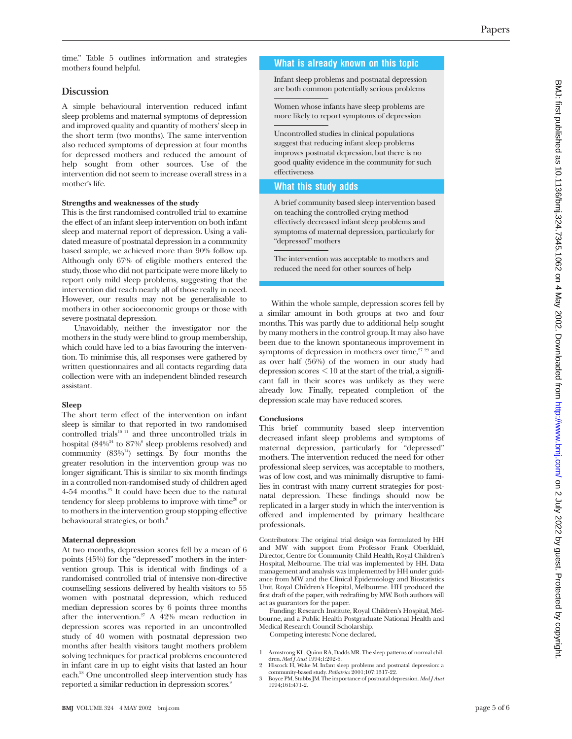time." Table 5 outlines information and strategies mothers found helpful.

# **Discussion**

A simple behavioural intervention reduced infant sleep problems and maternal symptoms of depression and improved quality and quantity of mothers' sleep in the short term (two months). The same intervention also reduced symptoms of depression at four months for depressed mothers and reduced the amount of help sought from other sources. Use of the intervention did not seem to increase overall stress in a mother's life.

#### **Strengths and weaknesses of the study**

This is the first randomised controlled trial to examine the effect of an infant sleep intervention on both infant sleep and maternal report of depression. Using a validated measure of postnatal depression in a community based sample, we achieved more than 90% follow up. Although only 67% of eligible mothers entered the study, those who did not participate were more likely to report only mild sleep problems, suggesting that the intervention did reach nearly all of those really in need. However, our results may not be generalisable to mothers in other socioeconomic groups or those with severe postnatal depression.

Unavoidably, neither the investigator nor the mothers in the study were blind to group membership, which could have led to a bias favouring the intervention. To minimise this, all responses were gathered by written questionnaires and all contacts regarding data collection were with an independent blinded research assistant.

#### **Sleep**

The short term effect of the intervention on infant sleep is similar to that reported in two randomised controlled trials<sup>10 11</sup> and three uncontrolled trials in hospital  $(84\%^{24}$  to  $87\%$ <sup>8</sup> sleep problems resolved) and community  $(83\%)^{14}$ ) settings. By four months the greater resolution in the intervention group was no longer significant. This is similar to six month findings in a controlled non-randomised study of children aged 4-54 months.25 It could have been due to the natural tendency for sleep problems to improve with time $26$  or to mothers in the intervention group stopping effective behavioural strategies, or both.<sup>8</sup>

#### **Maternal depression**

At two months, depression scores fell by a mean of 6 points (45%) for the "depressed" mothers in the intervention group. This is identical with findings of a randomised controlled trial of intensive non-directive counselling sessions delivered by health visitors to 55 women with postnatal depression, which reduced median depression scores by 6 points three months after the intervention.<sup>27</sup> A  $42\%$  mean reduction in depression scores was reported in an uncontrolled study of 40 women with postnatal depression two months after health visitors taught mothers problem solving techniques for practical problems encountered in infant care in up to eight visits that lasted an hour each.28 One uncontrolled sleep intervention study has reported a similar reduction in depression scores.<sup>9</sup>

# **What is already known on this topic**

Infant sleep problems and postnatal depression are both common potentially serious problems

Women whose infants have sleep problems are more likely to report symptoms of depression

Uncontrolled studies in clinical populations suggest that reducing infant sleep problems improves postnatal depression, but there is no good quality evidence in the community for such effectiveness

# **What this study adds**

A brief community based sleep intervention based on teaching the controlled crying method effectively decreased infant sleep problems and symptoms of maternal depression, particularly for "depressed" mothers

The intervention was acceptable to mothers and reduced the need for other sources of help

Within the whole sample, depression scores fell by a similar amount in both groups at two and four months. This was partly due to additional help sought by many mothers in the control group. It may also have been due to the known spontaneous improvement in symptoms of depression in mothers over time, $27 29$  and as over half (56%) of the women in our study had depression scores  $\leq 10$  at the start of the trial, a significant fall in their scores was unlikely as they were already low. Finally, repeated completion of the depression scale may have reduced scores.

#### **Conclusions**

This brief community based sleep intervention decreased infant sleep problems and symptoms of maternal depression, particularly for "depressed" mothers. The intervention reduced the need for other professional sleep services, was acceptable to mothers, was of low cost, and was minimally disruptive to families in contrast with many current strategies for postnatal depression. These findings should now be replicated in a larger study in which the intervention is offered and implemented by primary healthcare professionals.

Contributors: The original trial design was formulated by HH and MW with support from Professor Frank Oberklaid, Director, Centre for Community Child Health, Royal Children's Hospital, Melbourne. The trial was implemented by HH. Data management and analysis was implemented by HH under guidance from MW and the Clinical Epidemiology and Biostatistics Unit, Royal Children's Hospital, Melbourne. HH produced the first draft of the paper, with redrafting by MW. Both authors will act as guarantors for the paper.

Funding: Research Institute, Royal Children's Hospital, Melbourne, and a Public Health Postgraduate National Health and Medical Research Council Scholarship.

Competing interests: None declared.

- 1 Armstrong KL, Quinn RA, Dadds MR. The sleep patterns of normal chil-dren. *Med J Aust* 1994;1:202-6.
- 2 Hiscock H, Wake M. Infant sleep problems and postnatal depression: a community-based study. *Pediatrics* 2001;107:1317-22.
- 3 Boyce PM, Stubbs JM. The importance of postnatal depression. *Med J Aust* 1994;161:471-2.